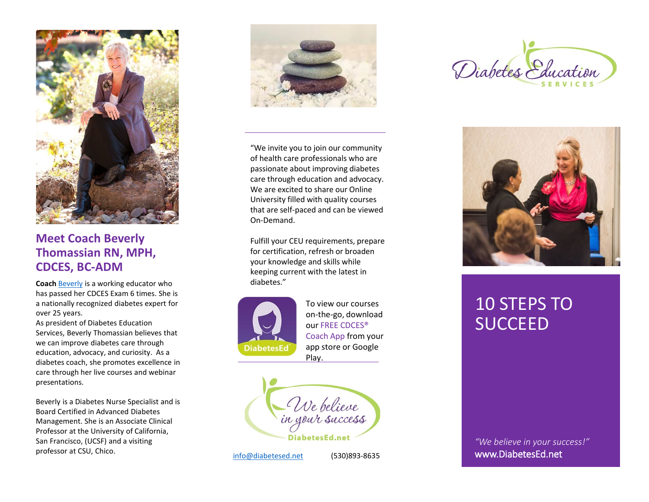

# **Meet Coach Beverly Thomassian RN, MPH, CDCES, BC -ADM**

**Coach** [Beverly](https://diabetesed.net/about-beverly-diabetes-educator-professor/) is a working educator who has passed her CDCES Exam 6 times. She is a nationally recognized diabetes expert for over 25 years.

As president of Diabetes Education Services, Beverly Thomassian believes that we can improve diabetes care through education, advocacy, and curiosity. As a diabetes coach, she promotes excellence in care through her live courses and webinar presentations.

Beverly is a Diabetes Nurse Specialist and is Board Certified in Advanced Diabetes Management. She is an Associate Clinical Professor at the University of California, San Francisco, (UCSF) and a visiting professor at CSU, Chico. [info@diabetesed.net](mailto:info@diabetesed.net)



"We invite you to join our community of health care professionals who are passionate about improving diabetes care through education and advocacy. We are excited to share our Online University filled with quality courses that are self -paced and can be viewed On -Demand.

Fulfill your CEU requirements, prepare for certification, refresh or broaden your knowledge and skills while keeping current with the latest in diabetes."



To view our courses on -the -go, download our FREE CDCES® Coach App from your app store or Google Play.



(530)893-8635





# 10 STEPS TO **SUCCEED**

*"We believe in your success!"* www.DiabetesEd.net